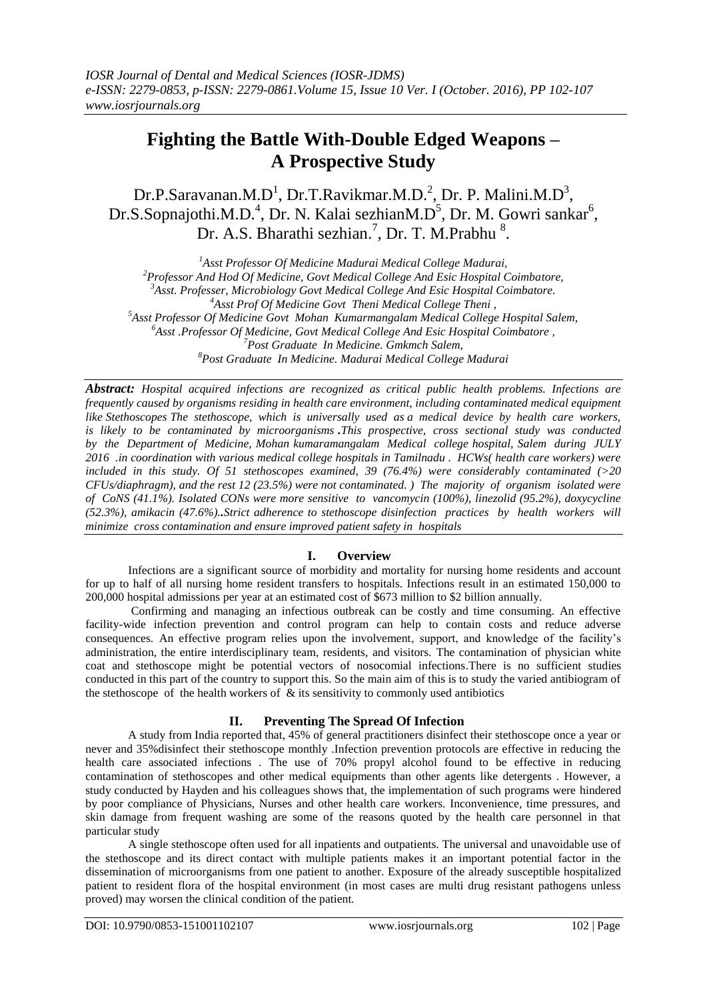# **Fighting the Battle With-Double Edged Weapons – A Prospective Study**

Dr.P.Saravanan.M.D<sup>1</sup>, Dr.T.Ravikmar.M.D.<sup>2</sup>, Dr. P. Malini.M.D<sup>3</sup>, Dr.S.Sopnajothi.M.D.<sup>4</sup>, Dr. N. Kalai sezhianM.D<sup>5</sup>, Dr. M. Gowri sankar<sup>6</sup>, Dr. A.S. Bharathi sezhian.<sup>7</sup>, Dr. T. M.Prabhu<sup>8</sup>.

*Asst Professor Of Medicine Madurai Medical College Madurai, Professor And Hod Of Medicine, Govt Medical College And Esic Hospital Coimbatore, Asst. Professer, Microbiology Govt Medical College And Esic Hospital Coimbatore. Asst Prof Of Medicine Govt Theni Medical College Theni , Asst Professor Of Medicine Govt Mohan Kumarmangalam Medical College Hospital Salem, Asst .Professor Of Medicine, Govt Medical College And Esic Hospital Coimbatore , Post Graduate In Medicine. Gmkmch Salem, Post Graduate In Medicine. Madurai Medical College Madurai*

*Abstract: Hospital acquired infections are recognized as critical public health problems. Infections are frequently caused by organisms residing in health care environment, including contaminated medical equipment like Stethoscopes The stethoscope, which is universally used as a medical device by health care workers, is likely to be contaminated by microorganisms .This prospective, cross sectional study was conducted by the Department of Medicine, Mohan kumaramangalam Medical college hospital, Salem during JULY 2016 .in coordination with various medical college hospitals in Tamilnadu . HCWs( health care workers) were included in this study. Of 51 stethoscopes examined, 39 (76.4%) were considerably contaminated (>20 CFUs/diaphragm), and the rest 12 (23.5%) were not contaminated. ) The majority of organism isolated were of CoNS (41.1%). Isolated CONs were more sensitive to vancomycin (100%), linezolid (95.2%), doxycycline (52.3%), amikacin (47.6%)..Strict adherence to stethoscope disinfection practices by health workers will minimize cross contamination and ensure improved patient safety in hospitals*

## **I. Overview**

Infections are a significant source of morbidity and mortality for nursing home residents and account for up to half of all nursing home resident transfers to hospitals. Infections result in an estimated 150,000 to 200,000 hospital admissions per year at an estimated cost of \$673 million to \$2 billion annually.

Confirming and managing an infectious outbreak can be costly and time consuming. An effective facility-wide infection prevention and control program can help to contain costs and reduce adverse consequences. An effective program relies upon the involvement, support, and knowledge of the facility's administration, the entire interdisciplinary team, residents, and visitors. The contamination of physician white coat and stethoscope might be potential vectors of nosocomial infections.There is no sufficient studies conducted in this part of the country to support this. So the main aim of this is to study the varied antibiogram of the stethoscope of the health workers of  $\&$  its sensitivity to commonly used antibiotics

# **II. Preventing The Spread Of Infection**

A study from India reported that, 45% of general practitioners disinfect their stethoscope once a year or never and 35%disinfect their stethoscope monthly .Infection prevention protocols are effective in reducing the health care associated infections . The use of 70% propyl alcohol found to be effective in reducing contamination of stethoscopes and other medical equipments than other agents like detergents . However, a study conducted by Hayden and his colleagues shows that, the implementation of such programs were hindered by poor compliance of Physicians, Nurses and other health care workers. Inconvenience, time pressures, and skin damage from frequent washing are some of the reasons quoted by the health care personnel in that particular study

A single stethoscope often used for all inpatients and outpatients. The universal and unavoidable use of the stethoscope and its direct contact with multiple patients makes it an important potential factor in the dissemination of microorganisms from one patient to another. Exposure of the already susceptible hospitalized patient to resident flora of the hospital environment (in most cases are multi drug resistant pathogens unless proved) may worsen the clinical condition of the patient.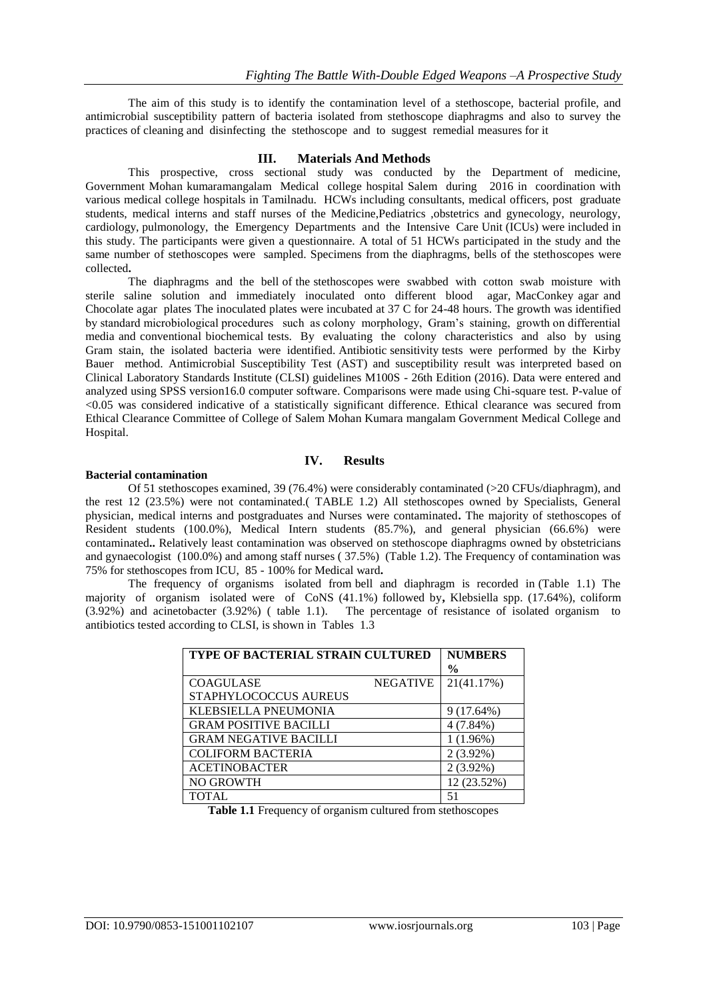The aim of this study is to identify the contamination level of a stethoscope, bacterial profile, and antimicrobial susceptibility pattern of bacteria isolated from stethoscope diaphragms and also to survey the practices of cleaning and disinfecting the stethoscope and to suggest remedial measures for it

## **III. Materials And Methods**

This prospective, cross sectional study was conducted by the Department of medicine, Government Mohan kumaramangalam Medical college hospital Salem during 2016 in coordination with various medical college hospitals in Tamilnadu. HCWs including consultants, medical officers, post graduate students, medical interns and staff nurses of the Medicine,Pediatrics ,obstetrics and gynecology, neurology, cardiology, pulmonology, the Emergency Departments and the Intensive Care Unit (ICUs) were included in this study. The participants were given a questionnaire. A total of 51 HCWs participated in the study and the same number of stethoscopes were sampled. Specimens from the diaphragms, bells of the stethoscopes were collected**.**

The diaphragms and the bell of the stethoscopes were swabbed with cotton swab moisture with sterile saline solution and immediately inoculated onto different blood agar, MacConkey agar and Chocolate agar plates The inoculated plates were incubated at 37 C for 24-48 hours. The growth was identified by standard microbiological procedures such as colony morphology, Gram's staining, growth on differential media and conventional biochemical tests. By evaluating the colony characteristics and also by using Gram stain, the isolated bacteria were identified. Antibiotic sensitivity tests were performed by the Kirby Bauer method. Antimicrobial Susceptibility Test (AST) and susceptibility result was interpreted based on Clinical Laboratory Standards Institute (CLSI) guidelines M100S - 26th Edition (2016). Data were entered and analyzed using SPSS version16.0 computer software. Comparisons were made using Chi-square test. P-value of <0.05 was considered indicative of a statistically significant difference. Ethical clearance was secured from Ethical Clearance Committee of College of Salem Mohan Kumara mangalam Government Medical College and Hospital.

## **IV. Results**

#### **Bacterial contamination**

Of 51 stethoscopes examined, 39 (76.4%) were considerably contaminated (>20 CFUs/diaphragm), and the rest 12 (23.5%) were not contaminated.( TABLE 1.2) All stethoscopes owned by Specialists, General physician, medical interns and postgraduates and Nurses were contaminated**.** The majority of stethoscopes of Resident students (100.0%), Medical Intern students (85.7%), and general physician (66.6%) were contaminated**..** Relatively least contamination was observed on stethoscope diaphragms owned by obstetricians and gynaecologist (100.0%) and among staff nurses ( 37.5%) (Table 1.2). The Frequency of contamination was 75% for stethoscopes from ICU, 85 - 100% for Medical ward**.** 

The frequency of organisms isolated from bell and diaphragm is recorded in (Table 1.1) The majority of organism isolated were of CoNS (41.1%) followed by**,** Klebsiella spp. (17.64%), coliform (3.92%) and acinetobacter (3.92%) ( table 1.1). The percentage of resistance of isolated organism to antibiotics tested according to CLSI, is shown in Tables 1.3

| <b>TYPE OF BACTERIAL STRAIN CULTURED</b> | <b>NUMBERS</b>  |               |
|------------------------------------------|-----------------|---------------|
|                                          |                 | $\frac{0}{0}$ |
| <b>COAGULASE</b>                         | <b>NEGATIVE</b> | 21(41.17%)    |
| STAPHYLOCOCCUS AUREUS                    |                 |               |
| KLEBSIELLA PNEUMONIA                     |                 | 9(17.64%)     |
| <b>GRAM POSITIVE BACILLI</b>             |                 | 4 (7.84%)     |
| <b>GRAM NEGATIVE BACILLI</b>             |                 | 1(1.96%)      |
| <b>COLIFORM BACTERIA</b>                 |                 | $2(3.92\%)$   |
| <b>ACETINOBACTER</b>                     |                 | $2(3.92\%)$   |
| <b>NO GROWTH</b>                         |                 | 12 (23.52%)   |
| <b>TOTAL</b>                             |                 | 51            |

**Table 1.1** Frequency of organism cultured from stethoscopes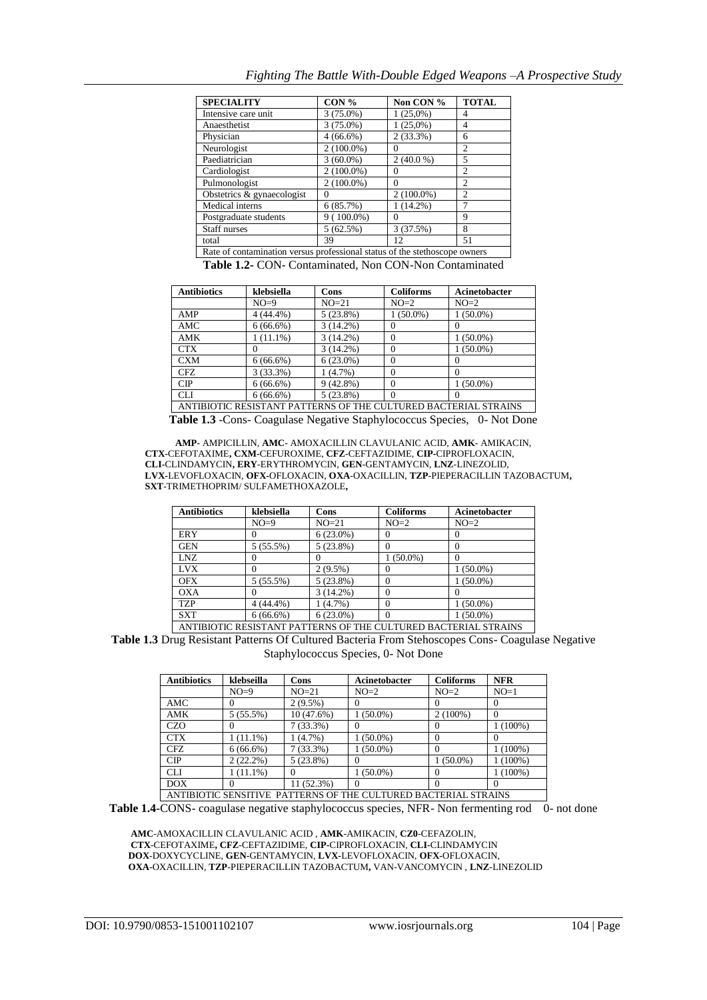| <b>SPECIALITY</b>                                                          | $CON\%$      | Non CON %         | <b>TOTAL</b>   |  |
|----------------------------------------------------------------------------|--------------|-------------------|----------------|--|
| Intensive care unit                                                        | $3(75.0\%)$  | $1(25,0\%)$       | 4              |  |
| Anaesthetist                                                               | $3(75.0\%)$  | $1(25,0\%)$       | 4              |  |
| Physician                                                                  | $4(66.6\%)$  | 2(33.3%)          | 6              |  |
| Neurologist                                                                | $2(100.0\%)$ |                   | $\overline{c}$ |  |
| Paediatrician                                                              | $3(60.0\%)$  | $2(40.0\%)$       | 5              |  |
| Cardiologist                                                               | $2(100.0\%)$ |                   | $\overline{c}$ |  |
| Pulmonologist                                                              | $2(100.0\%)$ | $\mathbf{\Omega}$ | $\mathfrak{D}$ |  |
| Obstetrics & gynaecologist                                                 | $\theta$     | $2(100.0\%)$      | $\overline{c}$ |  |
| Medical interns                                                            | 6(85.7%)     | $1(14.2\%)$       |                |  |
| Postgraduate students                                                      | $9(100.0\%)$ |                   | 9              |  |
| Staff nurses                                                               | 5(62.5%)     | 3 (37.5%)         | 8              |  |
| total                                                                      | 39           | 12                | 51             |  |
| Rate of contamination versus professional status of the stethoscope owners |              |                   |                |  |

**Table 1.2-** CON- Contaminated, Non CON-Non Contaminated

| <b>Antibiotics</b>                                              | klebsiella  | Cons        | <b>Coliforms</b> | Acinetobacter |
|-----------------------------------------------------------------|-------------|-------------|------------------|---------------|
|                                                                 | $NO=9$      | $NO=21$     | $NO=2$           | $NO=2$        |
| AMP                                                             | 4 (44.4%)   | $5(23.8\%)$ | $1(50.0\%)$      | $1(50.0\%)$   |
| AMC                                                             | $6(66.6\%)$ | $3(14.2\%)$ |                  |               |
| AMK                                                             | $1(11.1\%)$ | $3(14.2\%)$ |                  | $1(50.0\%)$   |
| <b>CTX</b>                                                      |             | $3(14.2\%)$ | $\Omega$         | $1(50.0\%)$   |
| <b>CXM</b>                                                      | $6(66.6\%)$ | $6(23.0\%)$ | $\Omega$         |               |
| CFZ.                                                            | 3(33.3%)    | $1(4.7\%)$  |                  |               |
| CIP                                                             | $6(66.6\%)$ | $9(42.8\%)$ |                  | $1(50.0\%)$   |
| <b>CLI</b>                                                      | $6(66.6\%)$ | 5(23.8%)    | $\Omega$         | $\mathbf{0}$  |
| ANTIBIOTIC RESISTANT PATTERNS OF THE CULTURED BACTERIAL STRAINS |             |             |                  |               |

**Table 1.3** -Cons- Coagulase Negative Staphylococcus Species, 0- Not Done

**AMP**- AMPICILLIN, **AMC**- AMOXACILLIN CLAVULANIC ACID, **AMK**- AMIKACIN,  **CTX**-CEFOTAXIME**, CXM-**CEFUROXIME, **CFZ**-CEFTAZIDIME, **CIP-**CIPROFLOXACIN,  **CLI-**CLINDAMYCIN**, ERY**-ERYTHROMYCIN, **GEN**-GENTAMYCIN, **LNZ**-LINEZOLID,  **LVX-**LEVOFLOXACIN, **OFX-**OFLOXACIN, **OXA**-OXACILLIN, **TZP**-PIEPERACILLIN TAZOBACTUM**, SXT**-TRIMETHOPRIM/ SULFAMETHOXAZOLE**,** 

| <b>Antibiotics</b> | klebsiella  | <b>Cons</b> | <b>Coliforms</b> | Acinetobacter                                                           |
|--------------------|-------------|-------------|------------------|-------------------------------------------------------------------------|
|                    | $NO=9$      | $NO=21$     | $NO=2$           | $NO=2$                                                                  |
| <b>ERY</b>         |             | $6(23.0\%)$ |                  |                                                                         |
| <b>GEN</b>         | 5(55.5%)    | 5(23.8%)    |                  |                                                                         |
| <b>LNZ</b>         |             |             | $1(50.0\%)$      |                                                                         |
| <b>LVX</b>         |             | $2(9.5\%)$  |                  | $1(50.0\%)$                                                             |
| <b>OFX</b>         | $5(55.5\%)$ | 5(23.8%)    |                  | $(50.0\%)$                                                              |
| <b>OXA</b>         |             | $3(14.2\%)$ |                  |                                                                         |
| <b>TZP</b>         | $4(44.4\%)$ | $1(4.7\%)$  |                  | $(50.0\%)$                                                              |
| <b>SXT</b>         | $6(66.6\%)$ | $6(23.0\%)$ |                  | $1(50.0\%)$                                                             |
|                    |             |             |                  | A MEDICATIC DECICE A ME DA TERDAIS OF THE CHI THRED DA CERDIAL STD AINS |

ANTIBIOTIC RESISTANT PATTERNS OF THE CULTURED BACTERIAL STRAINS **Table 1.3** Drug Resistant Patterns Of Cultured Bacteria From Stehoscopes Cons- Coagulase Negative Staphylococcus Species, 0- Not Done

| <b>Antibiotics</b>                                                    | klebseilla  | Cons        | Acinetobacter | <b>Coliforms</b> | <b>NFR</b> |
|-----------------------------------------------------------------------|-------------|-------------|---------------|------------------|------------|
|                                                                       | $NO=9$      | $NO=21$     | $NO=2$        | $NO=2$           | $NO=1$     |
| AMC                                                                   |             | $2(9.5\%)$  |               |                  |            |
| AMK                                                                   | $5(55.5\%)$ | 10(47.6%)   | $1(50.0\%)$   | $2(100\%)$       | 0          |
| <b>CZO</b>                                                            |             | 7(33.3%)    |               |                  | $1(100\%)$ |
| <b>CTX</b>                                                            | $(11.1\%)$  | $1(4.7\%)$  | $1(50.0\%)$   |                  |            |
| <b>CFZ</b>                                                            | $6(66.6\%)$ | 7(33.3%)    | $1(50.0\%)$   |                  | $1(100\%)$ |
| CIP                                                                   | $2(22.2\%)$ | $5(23.8\%)$ |               | $(50.0\%)$       | $1(100\%)$ |
| <b>CLI</b>                                                            | $(11.1\%)$  | 0           | $(50.0\%)$    |                  | $1(100\%)$ |
| <b>DOX</b>                                                            | $^{(1)}$    | 11 (52.3%)  |               |                  |            |
| A MEDICATO CENCIFIVE, DA TTEDNIC OF THE CHI THDED DA OTEDIAL CTD AINC |             |             |               |                  |            |

ANTIBIOTIC SENSITIVE PATTERNS OF THE CULTURED BACTERIAL STRAINS **Table 1.4-CONS- coagulase negative staphylococcus species, NFR- Non fermenting rod** 0- not done

 **AMC**-AMOXACILLIN CLAVULANIC ACID , **AMK**-AMIKACIN, **CZ0**-CEFAZOLIN,  **CTX**-CEFOTAXIME**, CFZ**-CEFTAZIDIME, **CIP-**CIPROFLOXACIN, **CLI-**CLINDAMYCIN  **DOX**-DOXYCYCLINE, **GEN**-GENTAMYCIN, **LVX-**LEVOFLOXACIN, **OFX-**OFLOXACIN,  **OXA**-OXACILLIN, **TZP**-PIEPERACILLIN TAZOBACTUM**,** VAN-VANCOMYCIN , **LNZ**-LINEZOLID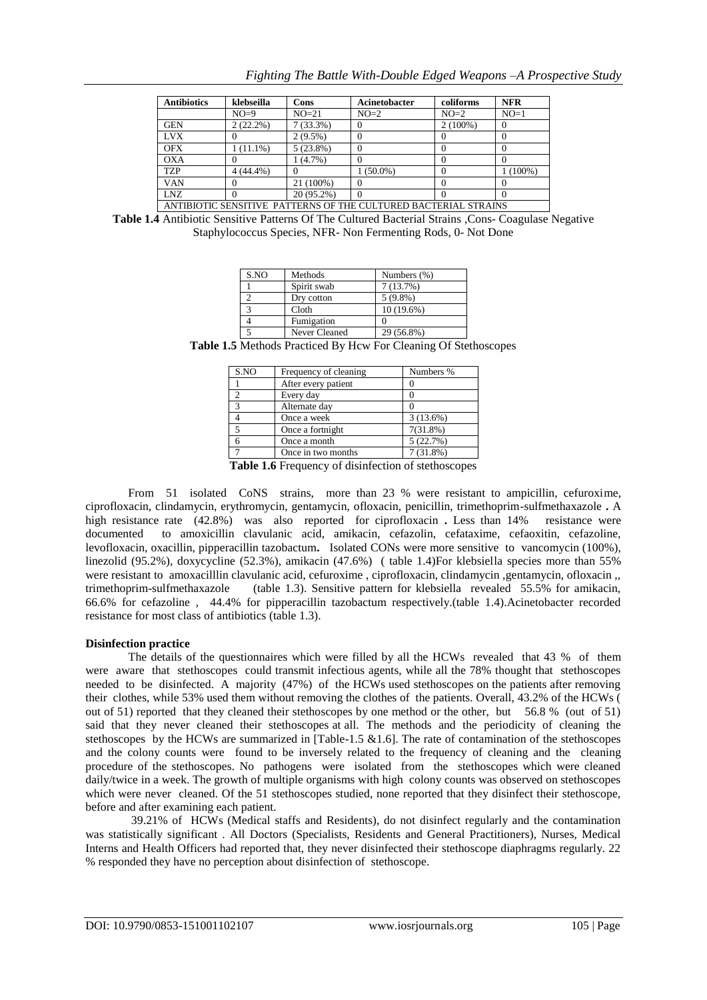| <b>Antibiotics</b>                                              | klebseilla  | Cons        | Acinetobacter | coliforms  | <b>NFR</b> |
|-----------------------------------------------------------------|-------------|-------------|---------------|------------|------------|
|                                                                 | $NO=9$      | $NO=21$     | $NO=2$        | $NO=2$     | $NO=1$     |
| <b>GEN</b>                                                      | $2(22.2\%)$ | $7(33.3\%)$ |               | $2(100\%)$ | U          |
| <b>LVX</b>                                                      |             | $2(9.5\%)$  |               |            |            |
| <b>OFX</b>                                                      | $1(11.1\%)$ | $5(23.8\%)$ |               |            |            |
| <b>OXA</b>                                                      |             | 1(4.7%)     |               |            |            |
| <b>TZP</b>                                                      | $4(44.4\%)$ |             | $1(50.0\%)$   |            | $1(100\%)$ |
| <b>VAN</b>                                                      |             | 21 (100%)   |               |            |            |
| LNZ.                                                            |             | 20 (95.2%)  | $\Omega$      |            |            |
| ANTIBIOTIC SENSITIVE PATTERNS OF THE CULTURED BACTERIAL STRAINS |             |             |               |            |            |

**Table 1.4** Antibiotic Sensitive Patterns Of The Cultured Bacterial Strains ,Cons- Coagulase Negative Staphylococcus Species, NFR- Non Fermenting Rods, 0- Not Done

| S.NO | Methods       | Numbers (%)  |
|------|---------------|--------------|
|      | Spirit swab   | 7(13.7%)     |
|      | Dry cotton    | $5(9.8\%)$   |
|      | Cloth         | $10(19.6\%)$ |
|      | Fumigation    |              |
|      | Never Cleaned | 29 (56.8%)   |

**Table 1.5** Methods Practiced By Hcw For Cleaning Of Stethoscopes

| S.NO          | Frequency of cleaning | Numbers %   |
|---------------|-----------------------|-------------|
|               | After every patient   |             |
|               | Every day             |             |
| $\mathcal{R}$ | Alternate day         |             |
|               | Once a week           | $3(13.6\%)$ |
|               | Once a fortnight      | $7(31.8\%)$ |
|               | Once a month          | 5(22.7%)    |
|               | Once in two months    | $7(31.8\%)$ |

**Table 1.6** Frequency of disinfection of stethoscopes

From 51 isolated CoNS strains, more than 23 % were resistant to ampicillin, cefuroxime, ciprofloxacin, clindamycin, erythromycin, gentamycin, ofloxacin, penicillin, trimethoprim-sulfmethaxazole **.** A high resistance rate (42.8%) was also reported for ciprofloxacin **.** Less than 14% resistance were documented to amoxicillin clavulanic acid, amikacin, cefazolin, cefataxime, cefaoxitin, cefazoline, levofloxacin, oxacillin, pipperacillin tazobactum**.** Isolated CONs were more sensitive to vancomycin (100%), linezolid (95.2%), doxycycline (52.3%), amikacin (47.6%) ( table 1.4)For klebsiella species more than 55% were resistant to amoxacilllin clavulanic acid, cefuroxime , ciprofloxacin, clindamycin ,gentamycin, ofloxacin ,, trimethoprim-sulfmethaxazole (table 1.3). Sensitive pattern for klebsiella revealed 55.5% for amikacin, 66.6% for cefazoline , 44.4% for pipperacillin tazobactum respectively.(table 1.4).Acinetobacter recorded resistance for most class of antibiotics (table 1.3).

## **Disinfection practice**

The details of the questionnaires which were filled by all the HCWs revealed that 43 % of them were aware that stethoscopes could transmit infectious agents, while all the 78% thought that stethoscopes needed to be disinfected. A majority (47%) of the HCWs used stethoscopes on the patients after removing their clothes, while 53% used them without removing the clothes of the patients. Overall, 43.2% of the HCWs ( out of 51) reported that they cleaned their stethoscopes by one method or the other, but 56.8 % (out of 51) said that they never cleaned their stethoscopes at all. The methods and the periodicity of cleaning the stethoscopes by the HCWs are summarized in [Table-1.5 & 1.6]. The rate of contamination of the stethoscopes and the colony counts were found to be inversely related to the frequency of cleaning and the cleaning procedure of the stethoscopes. No pathogens were isolated from the stethoscopes which were cleaned daily/twice in a week. The growth of multiple organisms with high colony counts was observed on stethoscopes which were never cleaned. Of the 51 stethoscopes studied, none reported that they disinfect their stethoscope, before and after examining each patient.

39.21% of HCWs (Medical staffs and Residents), do not disinfect regularly and the contamination was statistically significant . All Doctors (Specialists, Residents and General Practitioners), Nurses, Medical Interns and Health Officers had reported that, they never disinfected their stethoscope diaphragms regularly. 22 % responded they have no perception about disinfection of stethoscope.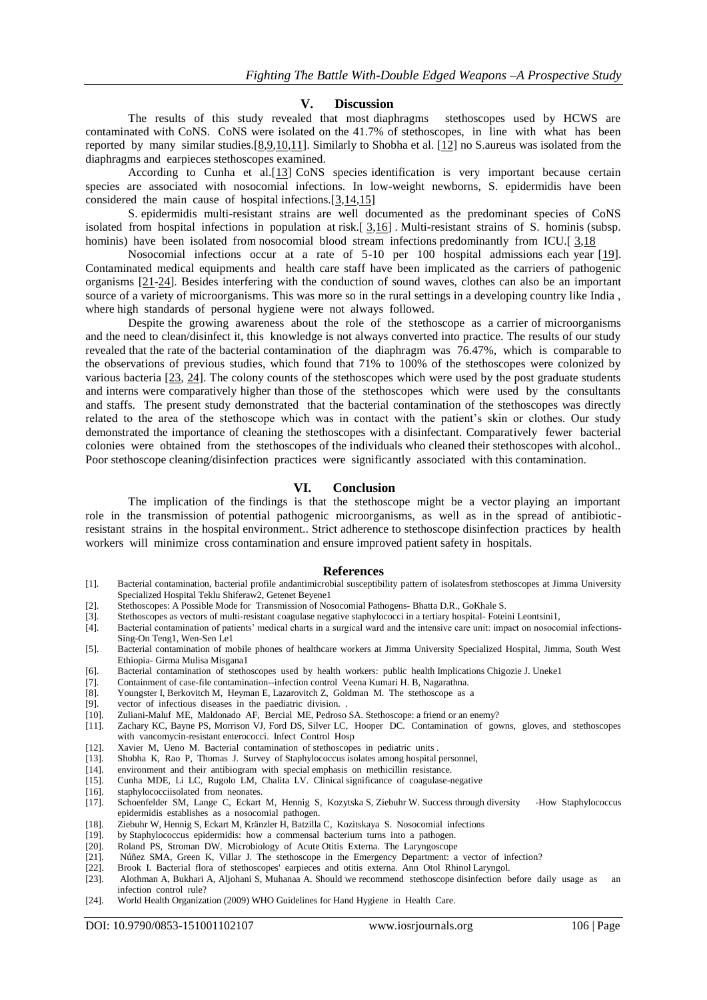#### **V. Discussion**

The results of this study revealed that most diaphragms stethoscopes used by HCWS are contaminated with CoNS. CoNS were isolated on the 41.7% of stethoscopes, in line with what has been reported by many similar studies. $[8,9,10,11]$  $[8,9,10,11]$  $[8,9,10,11]$  $[8,9,10,11]$ . Similarly to Shobha et al.  $[12]$  no S. aureus was isolated from the diaphragms and earpieces stethoscopes examined.

According to Cunha et al.[\[13\]](http://www.scopemed.org/?jft=67&ft=67-1348300046) CoNS species identification is very important because certain species are associated with nosocomial infections. In low-weight newborns, S. epidermidis have been considered the main cause of hospital infections.[\[3,](http://www.ijmsph.com/?mno=26179)[14](http://www.ncbi.nlm.nih.gov/pubmed/20451447)[,15\]](http://www.ncbi.nlm.nih.gov/pubmed/16829054)

S. epidermidis multi-resistant strains are well documented as the predominant species of CoNS isolated from hospital infections in population at risk.[ [3](http://www.ijmsph.com/?mno=26179)[,16\]](http://www.ncbi.nlm.nih.gov/pubmed/12169893) . Multi-resistant strains of S. hominis (subsp. hominis) have been isolated from nosocomial blood stream infections predominantly from ICU.[ [3](http://www.ijmsph.com/?mno=26179),18]

Nosocomial infections occur at a rate of 5-10 per 100 hospital admissions each year [\[19\]](http://benthamopen.com/ABSTRACT/TOIDJ-3-80). Contaminated medical equipments and health care staff have been implicated as the carriers of pathogenic organisms [\[21](http://www.ncbi.nlm.nih.gov/pubmed/19550162)[-24\]](http://apps.who.int/iris/handle/10665/66672). Besides interfering with the conduction of sound waves, clothes can also be an important source of a variety of microorganisms. This was more so in the rural settings in a developing country like India , where high standards of personal hygiene were not always followed.

Despite the growing awareness about the role of the stethoscope as a carrier of microorganisms and the need to clean/disinfect it, this knowledge is not always converted into practice. The results of our study revealed that the rate of the bacterial contamination of the diaphragm was 76.47%, which is comparable to the observations of previous studies, which found that 71% to 100% of the stethoscopes were colonized by various bacteria [\[23,](http://www.ncbi.nlm.nih.gov/pubmed/18205553) [24\]](http://apps.who.int/iris/handle/10665/66672). The colony counts of the stethoscopes which were used by the post graduate students and interns were comparatively higher than those of the stethoscopes which were used by the consultants and staffs. The present study demonstrated that the bacterial contamination of the stethoscopes was directly related to the area of the stethoscope which was in contact with the patient's skin or clothes. Our study demonstrated the importance of cleaning the stethoscopes with a disinfectant. Comparatively fewer bacterial colonies were obtained from the stethoscopes of the individuals who cleaned their stethoscopes with alcohol.. Poor stethoscope cleaning/disinfection practices were significantly associated with this contamination.

### **VI. Conclusion**

The implication of the findings is that the stethoscope might be a vector playing an important role in the transmission of potential pathogenic microorganisms, as well as in the spread of antibioticresistant strains in the hospital environment.. Strict adherence to stethoscope disinfection practices by health workers will minimize cross contamination and ensure improved patient safety in hospitals.

#### **References**

- [1]. Bacterial contamination, bacterial profile andantimicrobial susceptibility pattern of isolatesfrom stethoscopes at Jimma University Specialized Hospital Teklu Shiferaw2, Getenet Beyene1
- [2]. Stethoscopes: A Possible Mode for Transmission of Nosocomial Pathogens- Bhatta D.R., GoKhale S.
- [3]. Stethoscopes as vectors of multi-resistant coagulase negative staphylococci in a tertiary hospital- Foteini Leontsini1,
- [4]. Bacterial contamination of patients' medical charts in a surgical ward and the intensive care unit: impact on nosocomial infections-Sing-On Teng1, Wen-Sen Le1
- [5]. Bacterial contamination of mobile phones of healthcare workers at Jimma University Specialized Hospital, Jimma, South West Ethiopia- Girma Mulisa Misgana1
- [6]. Bacterial contamination of stethoscopes used by health workers: public health Implications Chigozie J. Uneke1
- [7]. Containment of case-file contamination--infection control Veena Kumari H. B, Nagarathna.
- [8]. Youngster I, Berkovitch M, Heyman E, Lazarovitch Z, Goldman M. The stethoscope as a [9]. vector of infectious diseases in the paediatric division.
- vector of infectious diseases in the paediatric division. .
- [10]. Zuliani-Maluf ME, Maldonado AF, Bercial ME, Pedroso SA. Stethoscope: a friend or an enemy?
- [11]. Zachary KC, Bayne PS, Morrison VJ, Ford DS, Silver LC, Hooper DC. Contamination of gowns, gloves, and stethoscopes with vancomycin-resistant enterococci. Infect Control Hosp
- [12]. Xavier M, Ueno M. Bacterial contamination of stethoscopes in pediatric units.
- [13]. Shobha K, Rao P, Thomas J. Survey of Staphylococcus isolates among hospital personnel,
- [14]. environment and their antibiogram with special emphasis on methicillin resistance.
- [15]. Cunha MDE, Li LC, Rugolo LM, Chalita LV. Clinical significance of coagulase-negative
- [16]. staphylococciisolated from neonates.
- [17]. Schoenfelder SM, Lange C, Eckart M, Hennig S, Kozytska S, Ziebuhr W. Success through diversity -How Staphylococcus epidermidis establishes as a nosocomial pathogen.
- [18]. Ziebuhr W, Hennig S, Eckart M, Kränzler H, Batzilla C, Kozitskaya S. Nosocomial infections
- by Staphylococcus epidermidis: how a commensal bacterium turns into a pathogen.
- [20]. Roland PS, Stroman DW. Microbiology of Acute Otitis Externa. The Laryngoscope
- [21]. Núñez SMA, Green K, Villar J. The stethoscope in the Emergency Department: a vector of infection?
- [22]. Brook I. Bacterial flora of stethoscopes' earpieces and otitis externa. Ann Otol Rhinol Laryngol.
- [23]. Alothman A, Bukhari A, Aljohani S, Muhanaa A. Should we recommend stethoscope disinfection before daily usage as an infection control rule?
- [24]. World Health Organization (2009) WHO Guidelines for Hand Hygiene in Health Care.